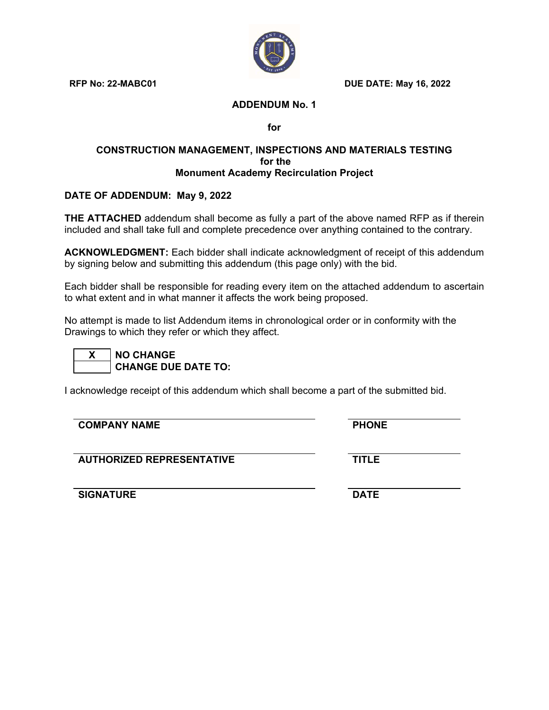

**RFP No: 22-MABC01 DUE DATE: May 16, 2022** 

## **ADDENDUM No. 1**

**for** 

#### **CONSTRUCTION MANAGEMENT, INSPECTIONS AND MATERIALS TESTING for the Monument Academy Recirculation Project**

# **DATE OF ADDENDUM: May 9, 2022**

**THE ATTACHED** addendum shall become as fully a part of the above named RFP as if therein included and shall take full and complete precedence over anything contained to the contrary.

**ACKNOWLEDGMENT:** Each bidder shall indicate acknowledgment of receipt of this addendum by signing below and submitting this addendum (this page only) with the bid.

Each bidder shall be responsible for reading every item on the attached addendum to ascertain to what extent and in what manner it affects the work being proposed.

No attempt is made to list Addendum items in chronological order or in conformity with the Drawings to which they refer or which they affect.

| N٥<br>L |
|---------|
| μ       |

**Z CHANGE EXAMGE DUE DATE TO:** 

I acknowledge receipt of this addendum which shall become a part of the submitted bid.

| <b>COMPANY NAME</b>              | <b>PHONE</b> |  |
|----------------------------------|--------------|--|
| <b>AUTHORIZED REPRESENTATIVE</b> | <b>TITLE</b> |  |
| <b>SIGNATURE</b>                 | <b>DATE</b>  |  |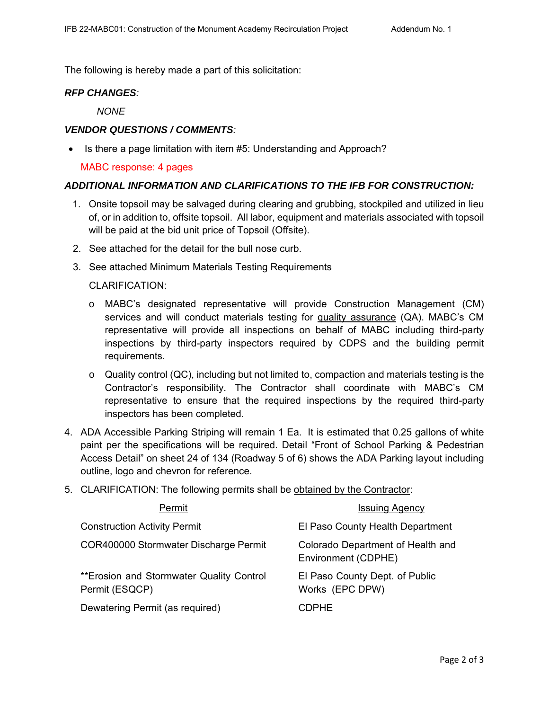The following is hereby made a part of this solicitation:

## *RFP CHANGES:*

*NONE*

#### *VENDOR QUESTIONS / COMMENTS:*

• Is there a page limitation with item #5: Understanding and Approach?

#### MABC response: 4 pages

## *ADDITIONAL INFORMATION AND CLARIFICATIONS TO THE IFB FOR CONSTRUCTION:*

- 1. Onsite topsoil may be salvaged during clearing and grubbing, stockpiled and utilized in lieu of, or in addition to, offsite topsoil. All labor, equipment and materials associated with topsoil will be paid at the bid unit price of Topsoil (Offsite).
- 2. See attached for the detail for the bull nose curb.
- 3. See attached Minimum Materials Testing Requirements

## CLARIFICATION:

- o MABC's designated representative will provide Construction Management (CM) services and will conduct materials testing for quality assurance (QA). MABC's CM representative will provide all inspections on behalf of MABC including third-party inspections by third-party inspectors required by CDPS and the building permit requirements.
- o Quality control (QC), including but not limited to, compaction and materials testing is the Contractor's responsibility. The Contractor shall coordinate with MABC's CM representative to ensure that the required inspections by the required third-party inspectors has been completed.
- 4. ADA Accessible Parking Striping will remain 1 Ea. It is estimated that 0.25 gallons of white paint per the specifications will be required. Detail "Front of School Parking & Pedestrian Access Detail" on sheet 24 of 134 (Roadway 5 of 6) shows the ADA Parking layout including outline, logo and chevron for reference.
- 5. CLARIFICATION: The following permits shall be obtained by the Contractor:

| Permit                                                      | <b>Issuing Agency</b>                                    |
|-------------------------------------------------------------|----------------------------------------------------------|
| <b>Construction Activity Permit</b>                         | El Paso County Health Department                         |
| COR400000 Stormwater Discharge Permit                       | Colorado Department of Health and<br>Environment (CDPHE) |
| ** Erosion and Stormwater Quality Control<br>Permit (ESQCP) | El Paso County Dept. of Public<br>Works (EPC DPW)        |
| Dewatering Permit (as required)                             | CDPHE.                                                   |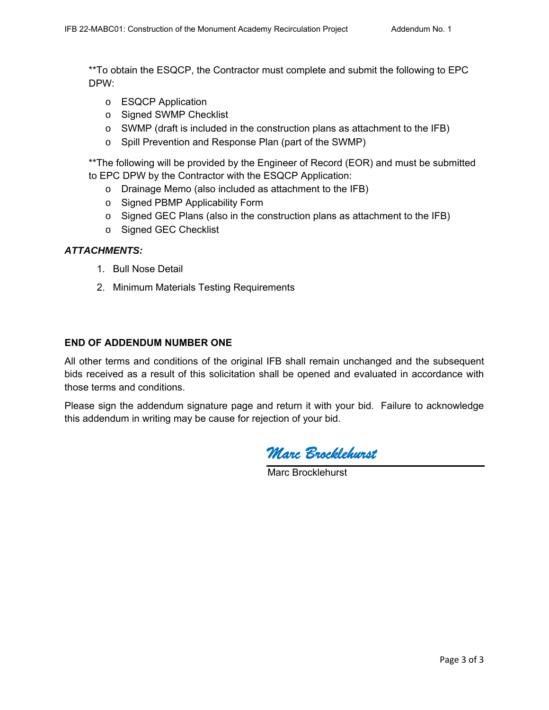\*\*To obtain the ESQCP, the Contractor must complete and submit the following to EPC DPW:

- o ESQCP Application
- o Signed SWMP Checklist
- o SWMP (draft is included in the construction plans as attachment to the IFB)
- o Spill Prevention and Response Plan (part of the SWMP)

\*\*The following will be provided by the Engineer of Record (EOR) and must be submitted to EPC DPW by the Contractor with the ESQCP Application:

- o Drainage Memo (also included as attachment to the IFB)
- o Signed PBMP Applicability Form
- o Signed GEC Plans (also in the construction plans as attachment to the IFB)
- o Signed GEC Checklist

## *ATTACHMENTS:*

- 1. Bull Nose Detail
- 2. Minimum Materials Testing Requirements

#### **END OF ADDENDUM NUMBER ONE**

All other terms and conditions of the original IFB shall remain unchanged and the subsequent bids received as a result of this solicitation shall be opened and evaluated in accordance with those terms and conditions.

Please sign the addendum signature page and return it with your bid. Failure to acknowledge this addendum in writing may be cause for rejection of your bid.

*Marc Brocklehurst* 

Marc Brocklehurst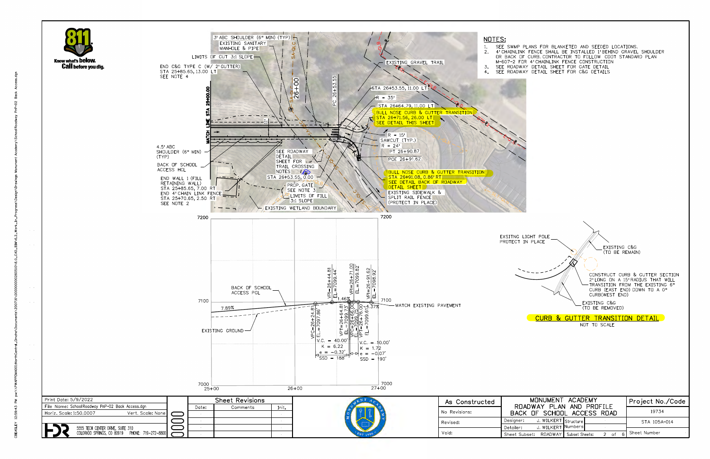